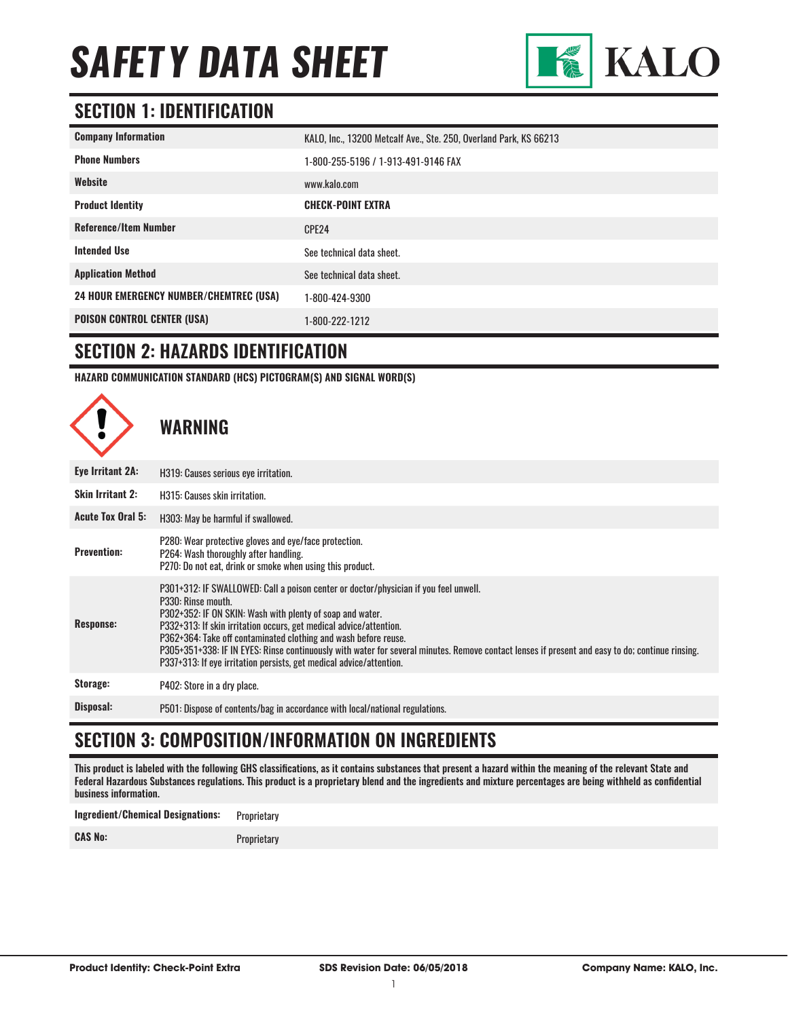

#### **SECTION 1: IDENTIFICATION**

| <b>Company Information</b>                     | KALO, Inc., 13200 Metcalf Ave., Ste. 250, Overland Park, KS 66213 |
|------------------------------------------------|-------------------------------------------------------------------|
| <b>Phone Numbers</b>                           | 1-800-255-5196 / 1-913-491-9146 FAX                               |
| Website                                        | www.kalo.com                                                      |
| <b>Product Identity</b>                        | <b>CHECK-POINT EXTRA</b>                                          |
| <b>Reference/Item Number</b>                   | CPE24                                                             |
| <b>Intended Use</b>                            | See technical data sheet.                                         |
| <b>Application Method</b>                      | See technical data sheet.                                         |
| <b>24 HOUR EMERGENCY NUMBER/CHEMTREC (USA)</b> | 1-800-424-9300                                                    |
| <b>POISON CONTROL CENTER (USA)</b>             | 1-800-222-1212                                                    |

#### **SECTION 2: HAZARDS IDENTIFICATION**

**HAZARD COMMUNICATION STANDARD (HCS) PICTOGRAM(S) AND SIGNAL WORD(S)**



#### **SECTION 3: COMPOSITION/INFORMATION ON INGREDIENTS**

This product is labeled with the following GHS classifications, as it contains substances that present a hazard within the meaning of the relevant State and Federal Hazardous Substances regulations. This product is a proprietary blend and the ingredients and mixture percentages are being withheld as confidential business information.

**Ingredient/Chemical Designations:** Proprietary **CAS No:** Proprietary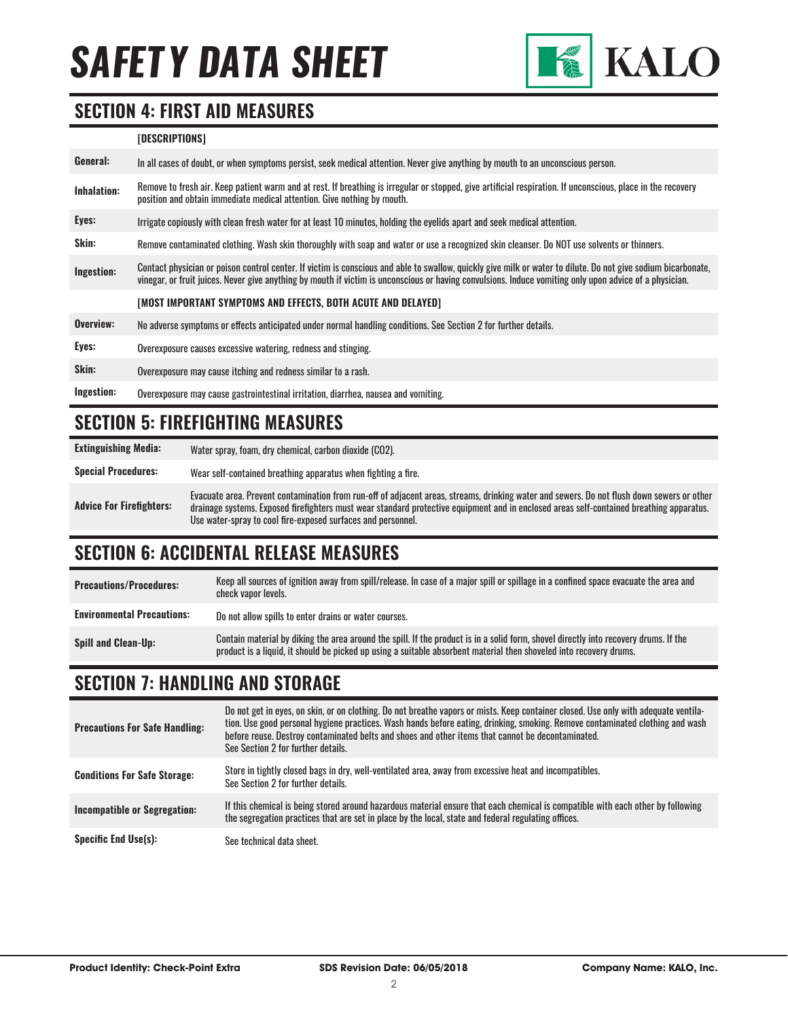

#### **SECTION 4: FIRST AID MEASURES**

#### **[DESCRIPTIONS]**

| General:    | In all cases of doubt, or when symptoms persist, seek medical attention. Never give anything by mouth to an unconscious person.                                                                                                                                                                                          |
|-------------|--------------------------------------------------------------------------------------------------------------------------------------------------------------------------------------------------------------------------------------------------------------------------------------------------------------------------|
| Inhalation: | Remove to fresh air. Keep patient warm and at rest. If breathing is irregular or stopped, give artificial respiration. If unconscious, place in the recovery<br>position and obtain immediate medical attention. Give nothing by mouth.                                                                                  |
| Eyes:       | Irrigate copiously with clean fresh water for at least 10 minutes, holding the eyelids apart and seek medical attention.                                                                                                                                                                                                 |
| Skin:       | Remove contaminated clothing. Wash skin thoroughly with soap and water or use a recognized skin cleanser. Do NOT use solvents or thinners.                                                                                                                                                                               |
| Ingestion:  | Contact physician or poison control center. If victim is conscious and able to swallow, quickly give milk or water to dilute. Do not give sodium bicarbonate,<br>vinegar, or fruit juices. Never give anything by mouth if victim is unconscious or having convulsions. Induce vomiting only upon advice of a physician. |
|             | [MOST IMPORTANT SYMPTOMS AND EFFECTS, BOTH ACUTE AND DELAYED]                                                                                                                                                                                                                                                            |
| Overview:   | No adverse symptoms or effects anticipated under normal handling conditions. See Section 2 for further details.                                                                                                                                                                                                          |
| Eyes:       | Overexposure causes excessive watering, redness and stinging.                                                                                                                                                                                                                                                            |
| Skin:       | Overexposure may cause itching and redness similar to a rash.                                                                                                                                                                                                                                                            |
| Ingestion:  | Overexposure may cause gastrointestinal irritation, diarrhea, nausea and vomiting.                                                                                                                                                                                                                                       |

#### **SECTION 5: FIREFIGHTING MEASURES**

**Extinguishing Media:** Water spray, foam, dry chemical, carbon dioxide (CO2).

**Special Procedures:** Wear self-contained breathing apparatus when fighting a fire.

**Advice For Firefighters:** Evacuate area. Prevent contamination from run-off of adjacent areas, streams, drinking water and sewers. Do not flush down sewers or other drainage systems. Exposed firefighters must wear standard protective equipment and in enclosed areas self-contained breathing apparatus. Use water-spray to cool fire-exposed surfaces and personnel.

#### **SECTION 6: ACCIDENTAL RELEASE MEASURES**

**Precautions/Procedures:** Keep all sources of ignition away from spill/release. In case of a major spill or spillage in a confined space evacuate the area and check vapor levels. **Environmental Precautions:** Do not allow spills to enter drains or water courses. **Spill and Clean-Up:** Contain material by diking the area around the spill. If the product is in a solid form, shovel directly into recovery drums. If the product is into a solid form, shovel directly into recovery drums. product is a liquid, it should be picked up using a suitable absorbent material then shoveled into recovery drums.

### **SECTION 7: HANDLING AND STORAGE**

| <b>Precautions For Safe Handling:</b> | Do not get in eyes, on skin, or on clothing. Do not breathe vapors or mists. Keep container closed. Use only with adequate ventila-<br>tion. Use good personal hygiene practices. Wash hands before eating, drinking, smoking. Remove contaminated clothing and wash<br>before reuse. Destroy contaminated belts and shoes and other items that cannot be decontaminated.<br>See Section 2 for further details. |
|---------------------------------------|-----------------------------------------------------------------------------------------------------------------------------------------------------------------------------------------------------------------------------------------------------------------------------------------------------------------------------------------------------------------------------------------------------------------|
| <b>Conditions For Safe Storage:</b>   | Store in tightly closed bags in dry, well-ventilated area, away from excessive heat and incompatibles.<br>See Section 2 for further details.                                                                                                                                                                                                                                                                    |
| Incompatible or Segregation:          | If this chemical is being stored around hazardous material ensure that each chemical is compatible with each other by following<br>the segregation practices that are set in place by the local, state and federal regulating offices.                                                                                                                                                                          |
| <b>Specific End Use(s):</b>           | See technical data sheet.                                                                                                                                                                                                                                                                                                                                                                                       |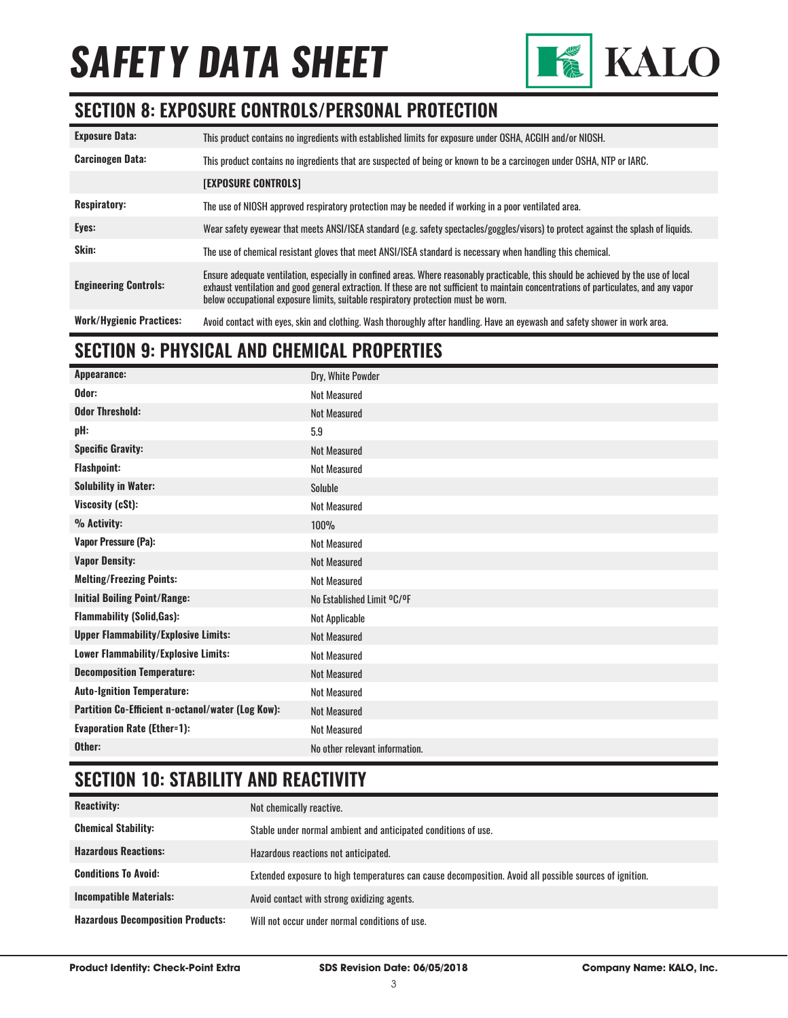

#### **SECTION 8: EXPOSURE CONTROLS/PERSONAL PROTECTION**

| <b>Exposure Data:</b>           | This product contains no ingredients with established limits for exposure under OSHA, ACGIH and/or NIOSH.                                                                                                                                                                                                                                                           |
|---------------------------------|---------------------------------------------------------------------------------------------------------------------------------------------------------------------------------------------------------------------------------------------------------------------------------------------------------------------------------------------------------------------|
| <b>Carcinogen Data:</b>         | This product contains no ingredients that are suspected of being or known to be a carcinogen under OSHA, NTP or IARC.                                                                                                                                                                                                                                               |
|                                 | <b>[EXPOSURE CONTROLS]</b>                                                                                                                                                                                                                                                                                                                                          |
| <b>Respiratory:</b>             | The use of NIOSH approved respiratory protection may be needed if working in a poor ventilated area.                                                                                                                                                                                                                                                                |
| Eyes:                           | Wear safety eyewear that meets ANSI/ISEA standard (e.g. safety spectacles/goggles/visors) to protect against the splash of liquids.                                                                                                                                                                                                                                 |
| Skin:                           | The use of chemical resistant gloves that meet ANSI/ISEA standard is necessary when handling this chemical.                                                                                                                                                                                                                                                         |
| <b>Engineering Controls:</b>    | Ensure adequate ventilation, especially in confined areas. Where reasonably practicable, this should be achieved by the use of local<br>exhaust ventilation and good general extraction. If these are not sufficient to maintain concentrations of particulates, and any vapor<br>below occupational exposure limits, suitable respiratory protection must be worn. |
| <b>Work/Hygienic Practices:</b> | Avoid contact with eyes, skin and clothing. Wash thoroughly after handling. Have an eyewash and safety shower in work area.                                                                                                                                                                                                                                         |

### **SECTION 9: PHYSICAL AND CHEMICAL PROPERTIES**

| Dry, White Powder              |
|--------------------------------|
| <b>Not Measured</b>            |
| <b>Not Measured</b>            |
| 5.9                            |
| <b>Not Measured</b>            |
| <b>Not Measured</b>            |
| Soluble                        |
| <b>Not Measured</b>            |
| <b>100%</b>                    |
| <b>Not Measured</b>            |
| <b>Not Measured</b>            |
| <b>Not Measured</b>            |
| No Established Limit °C/°F     |
| Not Applicable                 |
| <b>Not Measured</b>            |
| <b>Not Measured</b>            |
| <b>Not Measured</b>            |
| <b>Not Measured</b>            |
| <b>Not Measured</b>            |
| <b>Not Measured</b>            |
| No other relevant information. |
|                                |

#### **SECTION 10: STABILITY AND REACTIVITY**

| <b>Reactivity:</b>                       | Not chemically reactive.                                                                                |
|------------------------------------------|---------------------------------------------------------------------------------------------------------|
| <b>Chemical Stability:</b>               | Stable under normal ambient and anticipated conditions of use.                                          |
| <b>Hazardous Reactions:</b>              | Hazardous reactions not anticipated.                                                                    |
| <b>Conditions To Avoid:</b>              | Extended exposure to high temperatures can cause decomposition. Avoid all possible sources of ignition. |
| <b>Incompatible Materials:</b>           | Avoid contact with strong oxidizing agents.                                                             |
| <b>Hazardous Decomposition Products:</b> | Will not occur under normal conditions of use.                                                          |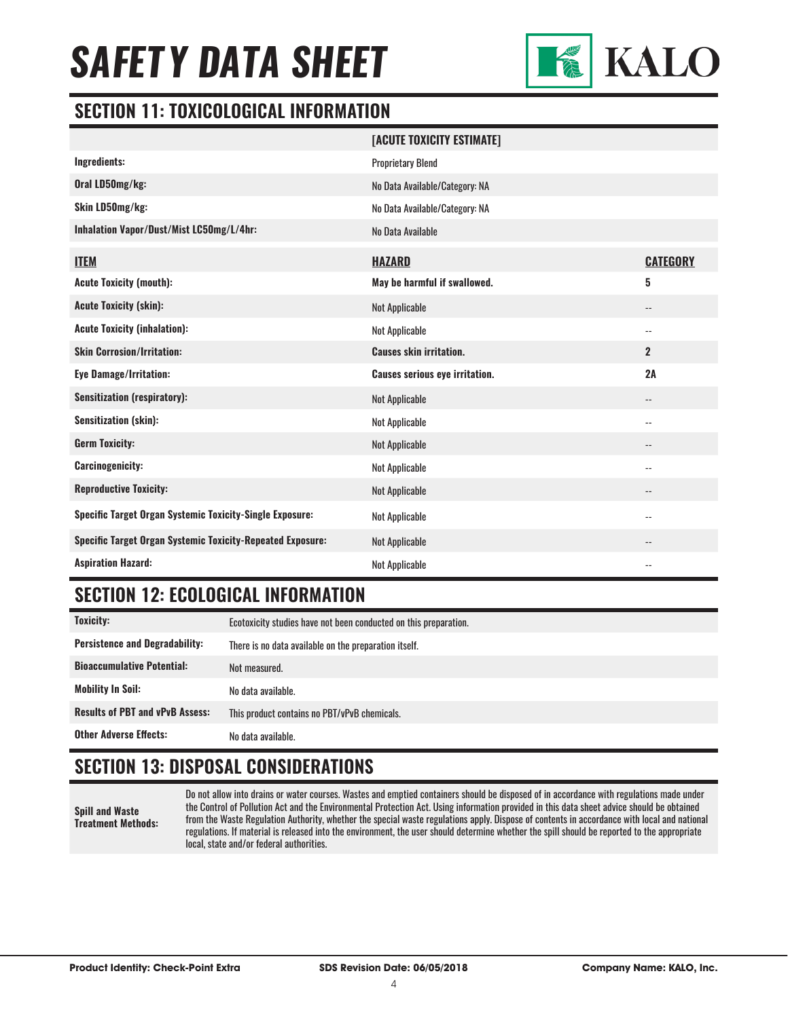

#### **SECTION 11: TOXICOLOGICAL INFORMATION**

|                                                                   | [ACUTE TOXICITY ESTIMATE]             |                            |
|-------------------------------------------------------------------|---------------------------------------|----------------------------|
| Ingredients:                                                      | <b>Proprietary Blend</b>              |                            |
| Oral LD50mg/kg:                                                   | No Data Available/Category: NA        |                            |
| Skin LD50mg/kg:                                                   | No Data Available/Category: NA        |                            |
| Inhalation Vapor/Dust/Mist LC50mg/L/4hr:                          | No Data Available                     |                            |
| <b>ITEM</b>                                                       | <b>HAZARD</b>                         | <b>CATEGORY</b>            |
| <b>Acute Toxicity (mouth):</b>                                    | May be harmful if swallowed.          | 5                          |
| <b>Acute Toxicity (skin):</b>                                     | <b>Not Applicable</b>                 | $\overline{\phantom{a}}$   |
| <b>Acute Toxicity (inhalation):</b>                               | <b>Not Applicable</b>                 | $\overline{\phantom{a}}$   |
| <b>Skin Corrosion/Irritation:</b>                                 | <b>Causes skin irritation.</b>        | $\overline{2}$             |
| Eye Damage/Irritation:                                            | <b>Causes serious eye irritation.</b> | 2A                         |
| <b>Sensitization (respiratory):</b>                               | <b>Not Applicable</b>                 | $\overline{\phantom{a}}$   |
| <b>Sensitization (skin):</b>                                      | <b>Not Applicable</b>                 | $\overline{\phantom{a}}$ . |
| <b>Germ Toxicity:</b>                                             | <b>Not Applicable</b>                 | $\overline{\phantom{a}}$   |
| <b>Carcinogenicity:</b>                                           | Not Applicable                        | $-$                        |
| <b>Reproductive Toxicity:</b>                                     | <b>Not Applicable</b>                 | $-$                        |
| <b>Specific Target Organ Systemic Toxicity-Single Exposure:</b>   | <b>Not Applicable</b>                 | $\overline{\phantom{a}}$   |
| <b>Specific Target Organ Systemic Toxicity-Repeated Exposure:</b> | <b>Not Applicable</b>                 | $\qquad \qquad -$          |
| <b>Aspiration Hazard:</b>                                         | <b>Not Applicable</b>                 | $\overline{\phantom{a}}$ . |

#### **SECTION 12: ECOLOGICAL INFORMATION**

| <b>Toxicity:</b>                       | Ecotoxicity studies have not been conducted on this preparation. |
|----------------------------------------|------------------------------------------------------------------|
| <b>Persistence and Degradability:</b>  | There is no data available on the preparation itself.            |
| <b>Bioaccumulative Potential:</b>      | Not measured.                                                    |
| <b>Mobility In Soil:</b>               | No data available.                                               |
| <b>Results of PBT and vPvB Assess:</b> | This product contains no PBT/vPvB chemicals.                     |
| <b>Other Adverse Effects:</b>          | No data available.                                               |

### **SECTION 13: DISPOSAL CONSIDERATIONS**

**Spill and Waste Treatment Methods:**

Do not allow into drains or water courses. Wastes and emptied containers should be disposed of in accordance with regulations made under the Control of Pollution Act and the Environmental Protection Act. Using information provided in this data sheet advice should be obtained from the Waste Regulation Authority, whether the special waste regulations apply. Dispose of contents in accordance with local and national regulations. If material is released into the environment, the user should determine whether the spill should be reported to the appropriate local, state and/or federal authorities.